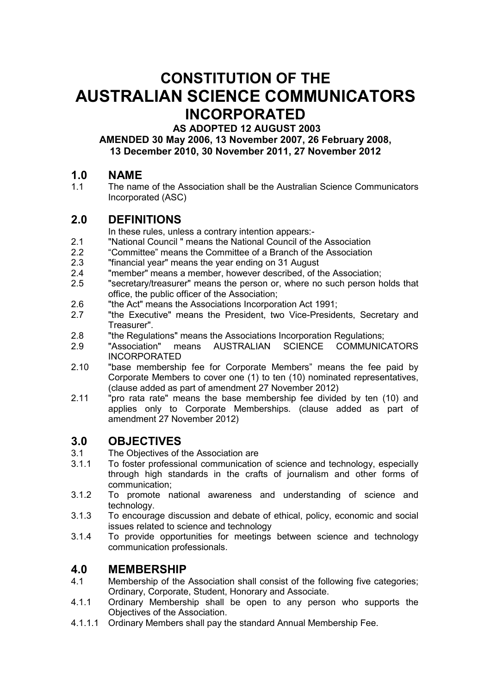# **CONSTITUTION OF THE AUSTRALIAN SCIENCE COMMUNICATORS INCORPORATED**

 **AS ADOPTED 12 AUGUST 2003** 

**AMENDED 30 May 2006, 13 November 2007, 26 February 2008, 13 December 2010, 30 November 2011, 27 November 2012** 

# **1.0 NAME**

The name of the Association shall be the Australian Science Communicators Incorporated (ASC)

# **2.0 DEFINITIONS**

In these rules, unless a contrary intention appears:-

- 2.1 "National Council " means the National Council of the Association
- 2.2 "Committee" means the Committee of a Branch of the Association
- 2.3 "financial year" means the year ending on 31 August
- 2.4 "member" means a member, however described, of the Association;
- 2.5 "secretary/treasurer" means the person or, where no such person holds that office, the public officer of the Association;
- 2.6 "the Act" means the Associations Incorporation Act 1991;
- 2.7 "the Executive" means the President, two Vice-Presidents, Secretary and Treasurer".
- 2.8 "the Regulations" means the Associations Incorporation Regulations;
- 2.9 "Association" means AUSTRALIAN SCIENCE COMMUNICATORS INCORPORATED
- 2.10 "base membership fee for Corporate Members" means the fee paid by Corporate Members to cover one (1) to ten (10) nominated representatives, (clause added as part of amendment 27 November 2012)
- 2.11 "pro rata rate" means the base membership fee divided by ten (10) and applies only to Corporate Memberships. (clause added as part of amendment 27 November 2012)

# **3.0 OBJECTIVES**

- 3.1 The Objectives of the Association are
- 3.1.1 To foster professional communication of science and technology, especially through high standards in the crafts of journalism and other forms of communication;
- 3.1.2 To promote national awareness and understanding of science and technology.
- 3.1.3 To encourage discussion and debate of ethical, policy, economic and social issues related to science and technology
- 3.1.4 To provide opportunities for meetings between science and technology communication professionals.

# **4.0 MEMBERSHIP**<br>4.1 Membership of the

- Membership of the Association shall consist of the following five categories; Ordinary, Corporate, Student, Honorary and Associate.
- 4.1.1 Ordinary Membership shall be open to any person who supports the Objectives of the Association.
- 4.1.1.1 Ordinary Members shall pay the standard Annual Membership Fee.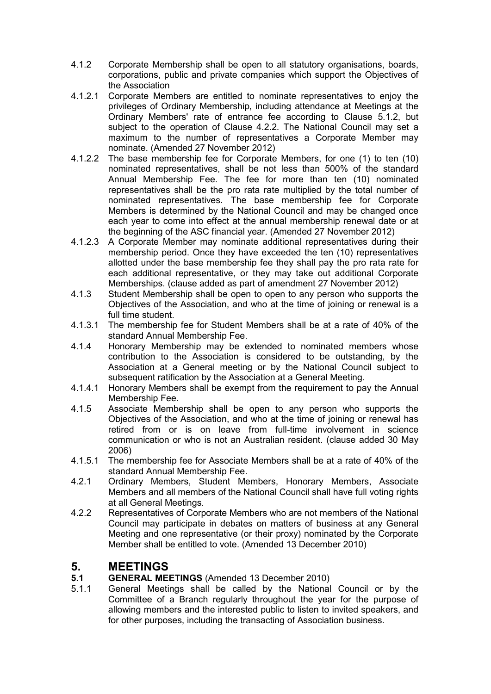- 4.1.2 Corporate Membership shall be open to all statutory organisations, boards, corporations, public and private companies which support the Objectives of the Association
- 4.1.2.1 Corporate Members are entitled to nominate representatives to enjoy the privileges of Ordinary Membership, including attendance at Meetings at the Ordinary Members' rate of entrance fee according to Clause 5.1.2, but subject to the operation of Clause 4.2.2. The National Council may set a maximum to the number of representatives a Corporate Member may nominate. (Amended 27 November 2012)
- 4.1.2.2 The base membership fee for Corporate Members, for one (1) to ten (10) nominated representatives, shall be not less than 500% of the standard Annual Membership Fee. The fee for more than ten (10) nominated representatives shall be the pro rata rate multiplied by the total number of nominated representatives. The base membership fee for Corporate Members is determined by the National Council and may be changed once each year to come into effect at the annual membership renewal date or at the beginning of the ASC financial year. (Amended 27 November 2012)
- 4.1.2.3 A Corporate Member may nominate additional representatives during their membership period. Once they have exceeded the ten (10) representatives allotted under the base membership fee they shall pay the pro rata rate for each additional representative, or they may take out additional Corporate Memberships. (clause added as part of amendment 27 November 2012)
- 4.1.3 Student Membership shall be open to open to any person who supports the Objectives of the Association, and who at the time of joining or renewal is a full time student.
- 4.1.3.1 The membership fee for Student Members shall be at a rate of 40% of the standard Annual Membership Fee.
- 4.1.4 Honorary Membership may be extended to nominated members whose contribution to the Association is considered to be outstanding, by the Association at a General meeting or by the National Council subject to subsequent ratification by the Association at a General Meeting.
- 4.1.4.1 Honorary Members shall be exempt from the requirement to pay the Annual Membership Fee.
- 4.1.5 Associate Membership shall be open to any person who supports the Objectives of the Association, and who at the time of joining or renewal has retired from or is on leave from full-time involvement in science communication or who is not an Australian resident. (clause added 30 May 2006)
- 4.1.5.1 The membership fee for Associate Members shall be at a rate of 40% of the standard Annual Membership Fee.
- 4.2.1 Ordinary Members, Student Members, Honorary Members, Associate Members and all members of the National Council shall have full voting rights at all General Meetings.
- 4.2.2 Representatives of Corporate Members who are not members of the National Council may participate in debates on matters of business at any General Meeting and one representative (or their proxy) nominated by the Corporate Member shall be entitled to vote. (Amended 13 December 2010)

# **5. MEETINGS**

## **5.1 GENERAL MEETINGS** (Amended 13 December 2010)

5.1.1 General Meetings shall be called by the National Council or by the Committee of a Branch regularly throughout the year for the purpose of allowing members and the interested public to listen to invited speakers, and for other purposes, including the transacting of Association business.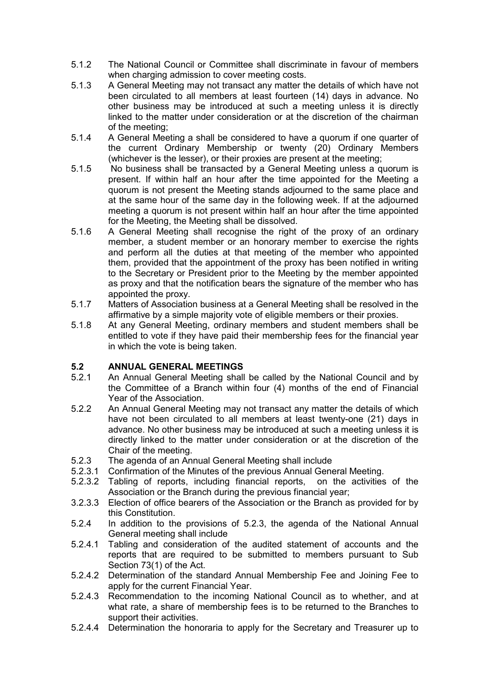- 5.1.2 The National Council or Committee shall discriminate in favour of members when charging admission to cover meeting costs.
- 5.1.3 A General Meeting may not transact any matter the details of which have not been circulated to all members at least fourteen (14) days in advance. No other business may be introduced at such a meeting unless it is directly linked to the matter under consideration or at the discretion of the chairman of the meeting;
- 5.1.4 A General Meeting a shall be considered to have a quorum if one quarter of the current Ordinary Membership or twenty (20) Ordinary Members (whichever is the lesser), or their proxies are present at the meeting;
- 5.1.5 No business shall be transacted by a General Meeting unless a quorum is present. If within half an hour after the time appointed for the Meeting a quorum is not present the Meeting stands adjourned to the same place and at the same hour of the same day in the following week. If at the adjourned meeting a quorum is not present within half an hour after the time appointed for the Meeting, the Meeting shall be dissolved.
- 5.1.6 A General Meeting shall recognise the right of the proxy of an ordinary member, a student member or an honorary member to exercise the rights and perform all the duties at that meeting of the member who appointed them, provided that the appointment of the proxy has been notified in writing to the Secretary or President prior to the Meeting by the member appointed as proxy and that the notification bears the signature of the member who has appointed the proxy.
- 5.1.7 Matters of Association business at a General Meeting shall be resolved in the affirmative by a simple majority vote of eligible members or their proxies.
- 5.1.8 At any General Meeting, ordinary members and student members shall be entitled to vote if they have paid their membership fees for the financial year in which the vote is being taken.

## **5.2 ANNUAL GENERAL MEETINGS**

- 5.2.1 An Annual General Meeting shall be called by the National Council and by the Committee of a Branch within four (4) months of the end of Financial Year of the Association.
- 5.2.2 An Annual General Meeting may not transact any matter the details of which have not been circulated to all members at least twenty-one (21) days in advance. No other business may be introduced at such a meeting unless it is directly linked to the matter under consideration or at the discretion of the Chair of the meeting.
- 5.2.3 The agenda of an Annual General Meeting shall include
- 5.2.3.1 Confirmation of the Minutes of the previous Annual General Meeting.
- 5.2.3.2 Tabling of reports, including financial reports, on the activities of the Association or the Branch during the previous financial year;
- 3.2.3.3 Election of office bearers of the Association or the Branch as provided for by this Constitution.
- 5.2.4 In addition to the provisions of 5.2.3, the agenda of the National Annual General meeting shall include
- 5.2.4.1 Tabling and consideration of the audited statement of accounts and the reports that are required to be submitted to members pursuant to Sub Section 73(1) of the Act.
- 5.2.4.2 Determination of the standard Annual Membership Fee and Joining Fee to apply for the current Financial Year.
- 5.2.4.3 Recommendation to the incoming National Council as to whether, and at what rate, a share of membership fees is to be returned to the Branches to support their activities.
- 5.2.4.4 Determination the honoraria to apply for the Secretary and Treasurer up to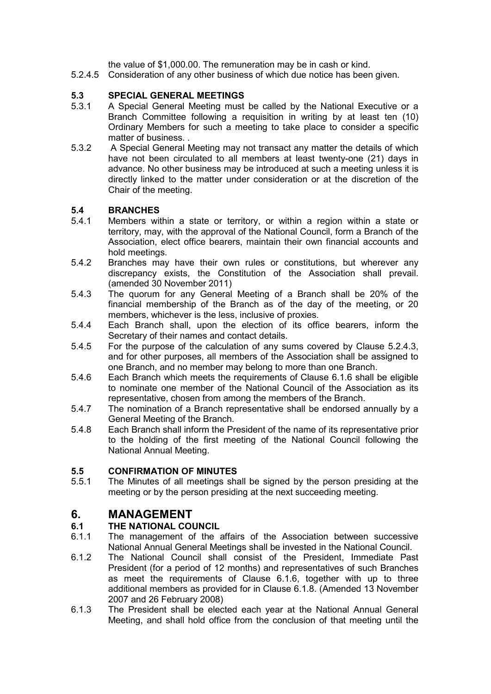the value of \$1,000.00. The remuneration may be in cash or kind.

5.2.4.5 Consideration of any other business of which due notice has been given.

# **5.3 SPECIAL GENERAL MEETINGS**

- 5.3.1 A Special General Meeting must be called by the National Executive or a Branch Committee following a requisition in writing by at least ten (10) Ordinary Members for such a meeting to take place to consider a specific matter of business. .
- 5.3.2 A Special General Meeting may not transact any matter the details of which have not been circulated to all members at least twenty-one (21) days in advance. No other business may be introduced at such a meeting unless it is directly linked to the matter under consideration or at the discretion of the Chair of the meeting.

# **5.4 BRANCHES**

- 5.4.1 Members within a state or territory, or within a region within a state or territory, may, with the approval of the National Council, form a Branch of the Association, elect office bearers, maintain their own financial accounts and hold meetings.
- 5.4.2 Branches may have their own rules or constitutions, but wherever any discrepancy exists, the Constitution of the Association shall prevail. (amended 30 November 2011)
- 5.4.3 The quorum for any General Meeting of a Branch shall be 20% of the financial membership of the Branch as of the day of the meeting, or 20 members, whichever is the less, inclusive of proxies.
- 5.4.4 Each Branch shall, upon the election of its office bearers, inform the Secretary of their names and contact details.
- 5.4.5 For the purpose of the calculation of any sums covered by Clause 5.2.4.3, and for other purposes, all members of the Association shall be assigned to one Branch, and no member may belong to more than one Branch.
- 5.4.6 Each Branch which meets the requirements of Clause 6.1.6 shall be eligible to nominate one member of the National Council of the Association as its representative, chosen from among the members of the Branch.
- 5.4.7 The nomination of a Branch representative shall be endorsed annually by a General Meeting of the Branch.
- 5.4.8 Each Branch shall inform the President of the name of its representative prior to the holding of the first meeting of the National Council following the National Annual Meeting.

## **5.5 CONFIRMATION OF MINUTES**

5.5.1 The Minutes of all meetings shall be signed by the person presiding at the meeting or by the person presiding at the next succeeding meeting.

# **6. MANAGEMENT**

## **6.1 THE NATIONAL COUNCIL**

- 6.1.1 The management of the affairs of the Association between successive National Annual General Meetings shall be invested in the National Council.
- 6.1.2 The National Council shall consist of the President, Immediate Past President (for a period of 12 months) and representatives of such Branches as meet the requirements of Clause 6.1.6, together with up to three additional members as provided for in Clause 6.1.8. (Amended 13 November 2007 and 26 February 2008)
- 6.1.3 The President shall be elected each year at the National Annual General Meeting, and shall hold office from the conclusion of that meeting until the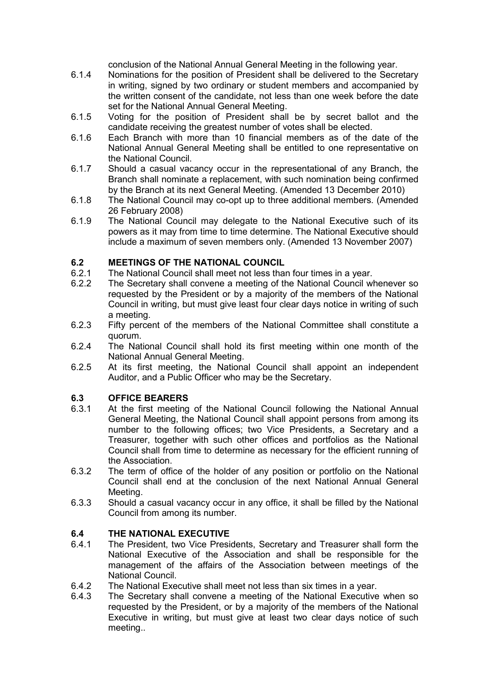conclusion of the National Annual General Meeting in the following year.

- 6.1.4 Nominations for the position of President shall be delivered to the Secretary in writing, signed by two ordinary or student members and accompanied by the written consent of the candidate, not less than one week before the date set for the National Annual General Meeting.
- 6.1.5 Voting for the position of President shall be by secret ballot and the candidate receiving the greatest number of votes shall be elected.
- 6.1.6 Each Branch with more than 10 financial members as of the date of the National Annual General Meeting shall be entitled to one representative on the National Council.
- 6.1.7 Should a casual vacancy occur in the representational of any Branch, the Branch shall nominate a replacement, with such nomination being confirmed by the Branch at its next General Meeting. (Amended 13 December 2010)
- 6.1.8 The National Council may co-opt up to three additional members. (Amended 26 February 2008)
- 6.1.9 The National Council may delegate to the National Executive such of its powers as it may from time to time determine. The National Executive should include a maximum of seven members only. (Amended 13 November 2007)

## **6.2 MEETINGS OF THE NATIONAL COUNCIL**

- 6.2.1 The National Council shall meet not less than four times in a year.
- 6.2.2 The Secretary shall convene a meeting of the National Council whenever so requested by the President or by a majority of the members of the National Council in writing, but must give least four clear days notice in writing of such a meeting.
- 6.2.3 Fifty percent of the members of the National Committee shall constitute a quorum.
- 6.2.4 The National Council shall hold its first meeting within one month of the National Annual General Meeting.
- 6.2.5 At its first meeting, the National Council shall appoint an independent Auditor, and a Public Officer who may be the Secretary.

## **6.3 OFFICE BEARERS**

- 6.3.1 At the first meeting of the National Council following the National Annual General Meeting, the National Council shall appoint persons from among its number to the following offices; two Vice Presidents, a Secretary and a Treasurer, together with such other offices and portfolios as the National Council shall from time to determine as necessary for the efficient running of the Association.
- 6.3.2 The term of office of the holder of any position or portfolio on the National Council shall end at the conclusion of the next National Annual General Meeting.
- 6.3.3 Should a casual vacancy occur in any office, it shall be filled by the National Council from among its number.

## **6.4 THE NATIONAL EXECUTIVE**

- 6.4.1 The President, two Vice Presidents, Secretary and Treasurer shall form the National Executive of the Association and shall be responsible for the management of the affairs of the Association between meetings of the National Council.
- 6.4.2 The National Executive shall meet not less than six times in a year.
- 6.4.3 The Secretary shall convene a meeting of the National Executive when so requested by the President, or by a majority of the members of the National Executive in writing, but must give at least two clear days notice of such meeting..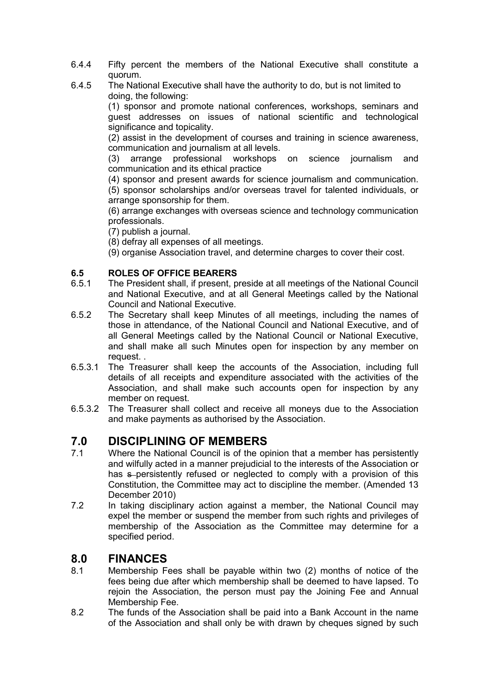- 6.4.4 Fifty percent the members of the National Executive shall constitute a quorum.
- 6.4.5 The National Executive shall have the authority to do, but is not limited to doing, the following:

(1) sponsor and promote national conferences, workshops, seminars and guest addresses on issues of national scientific and technological significance and topicality.

(2) assist in the development of courses and training in science awareness, communication and journalism at all levels.

(3) arrange professional workshops on science journalism and communication and its ethical practice

(4) sponsor and present awards for science journalism and communication. (5) sponsor scholarships and/or overseas travel for talented individuals, or arrange sponsorship for them.

(6) arrange exchanges with overseas science and technology communication professionals.

(7) publish a journal.

(8) defray all expenses of all meetings.

(9) organise Association travel, and determine charges to cover their cost.

## **6.5 ROLES OF OFFICE BEARERS**

- 6.5.1 The President shall, if present, preside at all meetings of the National Council and National Executive, and at all General Meetings called by the National Council and National Executive.
- 6.5.2 The Secretary shall keep Minutes of all meetings, including the names of those in attendance, of the National Council and National Executive, and of all General Meetings called by the National Council or National Executive, and shall make all such Minutes open for inspection by any member on request. .
- 6.5.3.1 The Treasurer shall keep the accounts of the Association, including full details of all receipts and expenditure associated with the activities of the Association, and shall make such accounts open for inspection by any member on request.
- 6.5.3.2 The Treasurer shall collect and receive all moneys due to the Association and make payments as authorised by the Association.

# **7.0 DISCIPLINING OF MEMBERS**<br>7.1 Where the National Council is of the op

- 7.1 Where the National Council is of the opinion that a member has persistently and wilfully acted in a manner prejudicial to the interests of the Association or has s-persistently refused or neglected to comply with a provision of this Constitution, the Committee may act to discipline the member. (Amended 13 December 2010)
- 7.2 In taking disciplinary action against a member, the National Council may expel the member or suspend the member from such rights and privileges of membership of the Association as the Committee may determine for a specified period.

# **8.0 FINANCES**

- 8.1 Membership Fees shall be payable within two (2) months of notice of the fees being due after which membership shall be deemed to have lapsed. To rejoin the Association, the person must pay the Joining Fee and Annual Membership Fee.
- 8.2 The funds of the Association shall be paid into a Bank Account in the name of the Association and shall only be with drawn by cheques signed by such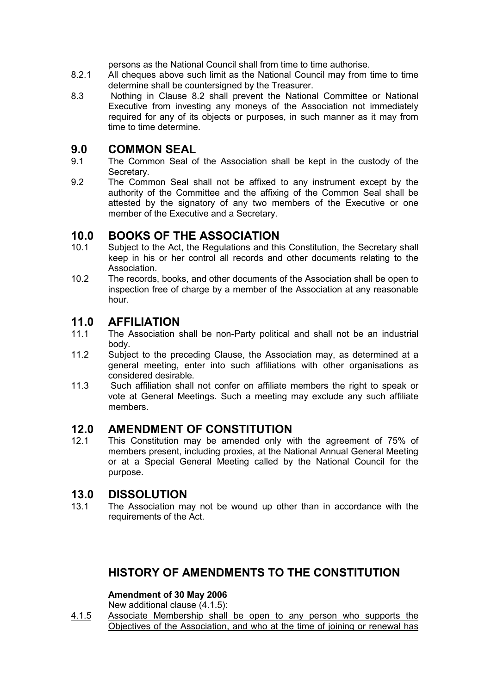persons as the National Council shall from time to time authorise.

- 8.2.1 All cheques above such limit as the National Council may from time to time determine shall be countersigned by the Treasurer.
- 8.3 Nothing in Clause 8.2 shall prevent the National Committee or National Executive from investing any moneys of the Association not immediately required for any of its objects or purposes, in such manner as it may from time to time determine.

# **9.0 COMMON SEAL**<br>9.1 The Common Seal of

- The Common Seal of the Association shall be kept in the custody of the Secretary.
- 9.2 The Common Seal shall not be affixed to any instrument except by the authority of the Committee and the affixing of the Common Seal shall be attested by the signatory of any two members of the Executive or one member of the Executive and a Secretary.

# **10.0 BOOKS OF THE ASSOCIATION**<br>10.1 Subject to the Act. the Regulations and thi

- Subject to the Act, the Regulations and this Constitution, the Secretary shall keep in his or her control all records and other documents relating to the **Association**
- 10.2 The records, books, and other documents of the Association shall be open to inspection free of charge by a member of the Association at any reasonable hour.

# **11.0 AFFILIATION**

- 11.1 The Association shall be non-Party political and shall not be an industrial body.
- 11.2 Subject to the preceding Clause, the Association may, as determined at a general meeting, enter into such affiliations with other organisations as considered desirable.
- 11.3 Such affiliation shall not confer on affiliate members the right to speak or vote at General Meetings. Such a meeting may exclude any such affiliate members.

# **12.0 AMENDMENT OF CONSTITUTION**<br>12.1 This Constitution may be amended only w

This Constitution may be amended only with the agreement of 75% of members present, including proxies, at the National Annual General Meeting or at a Special General Meeting called by the National Council for the purpose.

# **13.0 DISSOLUTION**

13.1 The Association may not be wound up other than in accordance with the requirements of the Act.

# **HISTORY OF AMENDMENTS TO THE CONSTITUTION**

## **Amendment of 30 May 2006**

New additional clause (4.1.5):

4.1.5 Associate Membership shall be open to any person who supports the Objectives of the Association, and who at the time of joining or renewal has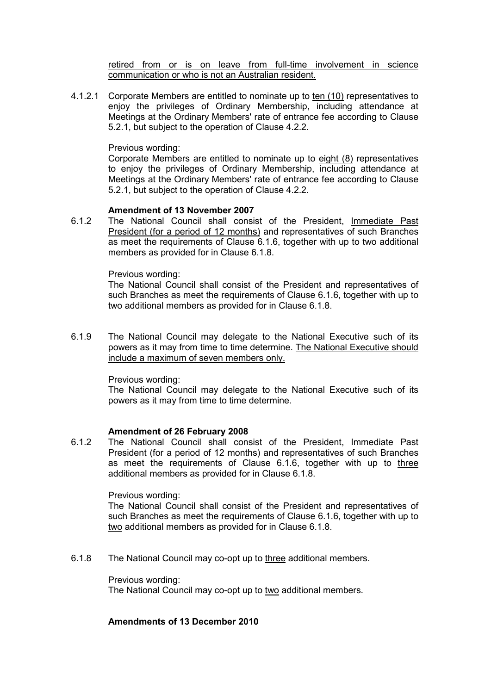retired from or is on leave from full-time involvement in science communication or who is not an Australian resident.

4.1.2.1 Corporate Members are entitled to nominate up to ten (10) representatives to enjoy the privileges of Ordinary Membership, including attendance at Meetings at the Ordinary Members' rate of entrance fee according to Clause 5.2.1, but subject to the operation of Clause 4.2.2.

### Previous wording:

Corporate Members are entitled to nominate up to eight (8) representatives to enjoy the privileges of Ordinary Membership, including attendance at Meetings at the Ordinary Members' rate of entrance fee according to Clause 5.2.1, but subject to the operation of Clause 4.2.2.

### **Amendment of 13 November 2007**

6.1.2 The National Council shall consist of the President, Immediate Past President (for a period of 12 months) and representatives of such Branches as meet the requirements of Clause 6.1.6, together with up to two additional members as provided for in Clause 6.1.8.

### Previous wording:

The National Council shall consist of the President and representatives of such Branches as meet the requirements of Clause 6.1.6, together with up to two additional members as provided for in Clause 6.1.8.

6.1.9 The National Council may delegate to the National Executive such of its powers as it may from time to time determine. The National Executive should include a maximum of seven members only.

Previous wording:

The National Council may delegate to the National Executive such of its powers as it may from time to time determine.

## **Amendment of 26 February 2008**

6.1.2 The National Council shall consist of the President, Immediate Past President (for a period of 12 months) and representatives of such Branches as meet the requirements of Clause 6.1.6, together with up to three additional members as provided for in Clause 6.1.8.

#### Previous wording:

The National Council shall consist of the President and representatives of such Branches as meet the requirements of Clause 6.1.6, together with up to two additional members as provided for in Clause 6.1.8.

6.1.8 The National Council may co-opt up to three additional members.

Previous wording:

The National Council may co-opt up to two additional members.

### **Amendments of 13 December 2010**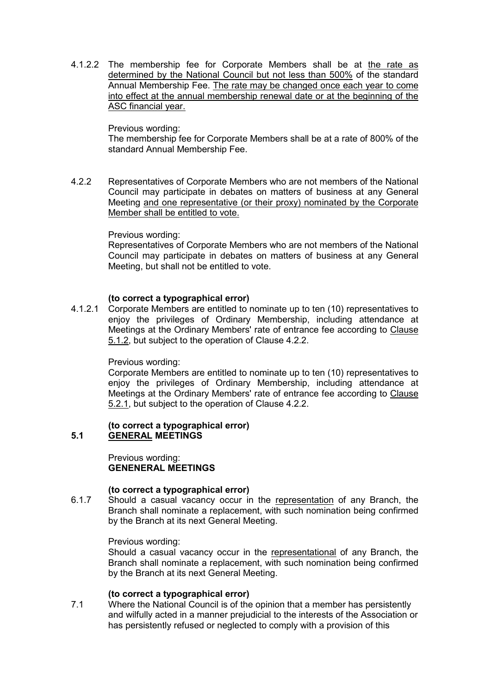4.1.2.2 The membership fee for Corporate Members shall be at the rate as determined by the National Council but not less than 500% of the standard Annual Membership Fee. The rate may be changed once each year to come into effect at the annual membership renewal date or at the beginning of the ASC financial year.

### Previous wording:

The membership fee for Corporate Members shall be at a rate of 800% of the standard Annual Membership Fee.

4.2.2 Representatives of Corporate Members who are not members of the National Council may participate in debates on matters of business at any General Meeting and one representative (or their proxy) nominated by the Corporate Member shall be entitled to vote.

### Previous wording:

Representatives of Corporate Members who are not members of the National Council may participate in debates on matters of business at any General Meeting, but shall not be entitled to vote.

### **(to correct a typographical error)**

4.1.2.1 Corporate Members are entitled to nominate up to ten (10) representatives to enjoy the privileges of Ordinary Membership, including attendance at Meetings at the Ordinary Members' rate of entrance fee according to Clause 5.1.2, but subject to the operation of Clause 4.2.2.

#### Previous wording:

Corporate Members are entitled to nominate up to ten (10) representatives to enjoy the privileges of Ordinary Membership, including attendance at Meetings at the Ordinary Members' rate of entrance fee according to Clause 5.2.1, but subject to the operation of Clause 4.2.2.

#### **(to correct a typographical error) 5.1 GENERAL MEETINGS**

Previous wording: **GENENERAL MEETINGS** 

#### **(to correct a typographical error)**

6.1.7 Should a casual vacancy occur in the representation of any Branch, the Branch shall nominate a replacement, with such nomination being confirmed by the Branch at its next General Meeting.

#### Previous wording:

Should a casual vacancy occur in the representational of any Branch, the Branch shall nominate a replacement, with such nomination being confirmed by the Branch at its next General Meeting.

#### **(to correct a typographical error)**

7.1 Where the National Council is of the opinion that a member has persistently and wilfully acted in a manner prejudicial to the interests of the Association or has persistently refused or neglected to comply with a provision of this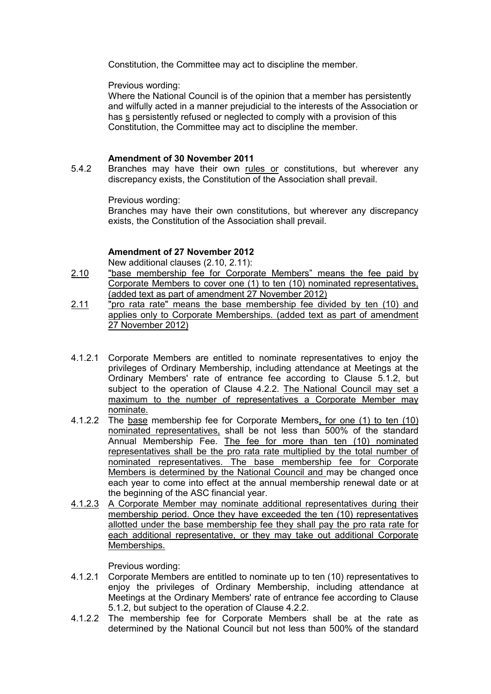Constitution, the Committee may act to discipline the member.

Previous wording:

Where the National Council is of the opinion that a member has persistently and wilfully acted in a manner prejudicial to the interests of the Association or has s persistently refused or neglected to comply with a provision of this Constitution, the Committee may act to discipline the member.

## **Amendment of 30 November 2011**

5.4.2 Branches may have their own rules or constitutions, but wherever any discrepancy exists, the Constitution of the Association shall prevail.

Previous wording:

Branches may have their own constitutions, but wherever any discrepancy exists, the Constitution of the Association shall prevail.

### **Amendment of 27 November 2012**

New additional clauses (2.10, 2.11):

- 2.10 "base membership fee for Corporate Members" means the fee paid by Corporate Members to cover one (1) to ten (10) nominated representatives, (added text as part of amendment 27 November 2012)
- 2.11 "pro rata rate" means the base membership fee divided by ten (10) and applies only to Corporate Memberships. (added text as part of amendment 27 November 2012)
- 4.1.2.1 Corporate Members are entitled to nominate representatives to enjoy the privileges of Ordinary Membership, including attendance at Meetings at the Ordinary Members' rate of entrance fee according to Clause 5.1.2, but subject to the operation of Clause 4.2.2. The National Council may set a maximum to the number of representatives a Corporate Member may nominate.
- 4.1.2.2 The base membership fee for Corporate Members, for one (1) to ten (10) nominated representatives, shall be not less than 500% of the standard Annual Membership Fee. The fee for more than ten (10) nominated representatives shall be the pro rata rate multiplied by the total number of nominated representatives. The base membership fee for Corporate Members is determined by the National Council and may be changed once each year to come into effect at the annual membership renewal date or at the beginning of the ASC financial year.
- 4.1.2.3 A Corporate Member may nominate additional representatives during their membership period. Once they have exceeded the ten (10) representatives allotted under the base membership fee they shall pay the pro rata rate for each additional representative, or they may take out additional Corporate Memberships.

Previous wording:

- 4.1.2.1 Corporate Members are entitled to nominate up to ten (10) representatives to enjoy the privileges of Ordinary Membership, including attendance at Meetings at the Ordinary Members' rate of entrance fee according to Clause 5.1.2, but subject to the operation of Clause 4.2.2.
- 4.1.2.2 The membership fee for Corporate Members shall be at the rate as determined by the National Council but not less than 500% of the standard